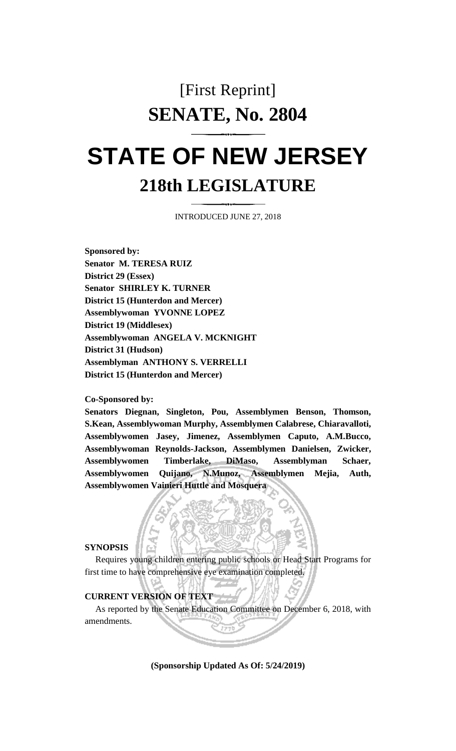## [First Reprint] **SENATE, No. 2804**

# **STATE OF NEW JERSEY 218th LEGISLATURE**

INTRODUCED JUNE 27, 2018

**Sponsored by: Senator M. TERESA RUIZ District 29 (Essex) Senator SHIRLEY K. TURNER District 15 (Hunterdon and Mercer) Assemblywoman YVONNE LOPEZ District 19 (Middlesex) Assemblywoman ANGELA V. MCKNIGHT District 31 (Hudson) Assemblyman ANTHONY S. VERRELLI District 15 (Hunterdon and Mercer)**

**Co-Sponsored by:**

**Senators Diegnan, Singleton, Pou, Assemblymen Benson, Thomson, S.Kean, Assemblywoman Murphy, Assemblymen Calabrese, Chiaravalloti, Assemblywomen Jasey, Jimenez, Assemblymen Caputo, A.M.Bucco, Assemblywoman Reynolds-Jackson, Assemblymen Danielsen, Zwicker, Assemblywomen Timberlake, DiMaso, Assemblyman Schaer, Assemblywomen Quijano, N.Munoz, Assemblymen Mejia, Auth, Assemblywomen Vainieri Huttle and Mosquera**

#### **SYNOPSIS**

Requires young children entering public schools or Head Start Programs for first time to have comprehensive eye examination completed.

#### **CURRENT VERSION OF TEXT**

As reported by the Senate Education Committee on December 6, 2018, with amendments.

**(Sponsorship Updated As Of: 5/24/2019)**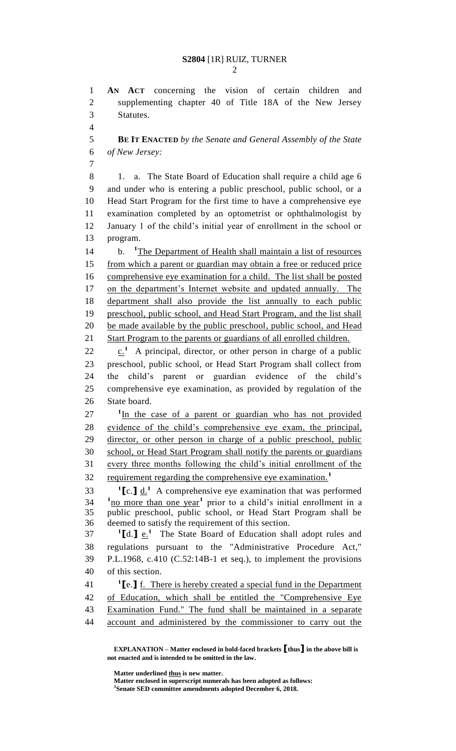**AN ACT** concerning the vision of certain children and

supplementing chapter 40 of Title 18A of the New Jersey

**BE IT ENACTED** *by the Senate and General Assembly of the State* 

Statutes.

 *of New Jersey:* 8 1. a. The State Board of Education shall require a child age 6 and under who is entering a public preschool, public school, or a Head Start Program for the first time to have a comprehensive eye examination completed by an optometrist or ophthalmologist by January 1 of the child's initial year of enrollment in the school or program. b. **<sup>1</sup>** 14 b. <sup>1</sup>The Department of Health shall maintain a list of resources from which a parent or guardian may obtain a free or reduced price comprehensive eye examination for a child. The list shall be posted 17 on the department's Internet website and updated annually. The department shall also provide the list annually to each public preschool, public school, and Head Start Program, and the list shall 20 be made available by the public preschool, public school, and Head Start Program to the parents or guardians of all enrolled children.  $\cdot$   $\cdot$   $\cdot$   $\cdot$  A principal, director, or other person in charge of a public preschool, public school, or Head Start Program shall collect from the child's parent or guardian evidence of the child's comprehensive eye examination, as provided by regulation of the State board. <sup>1</sup>In the case of a parent or guardian who has not provided evidence of the child's comprehensive eye exam, the principal, director, or other person in charge of a public preschool, public school, or Head Start Program shall notify the parents or guardians every three months following the child's initial enrollment of the requirement regarding the comprehensive eye examination.**<sup>1</sup> 1 1 b**. **1 d**. **1 d**. **1 a** comprehensive eye examination that was performed  $10^{10}$   $\mu$   $\alpha$  more than one year<sup>1</sup> prior to a child's initial enrollment in a public preschool, public school, or Head Start Program shall be deemed to satisfy the requirement of this section. **[**d.**]** e.**<sup>1</sup>** 37 The State Board of Education shall adopt rules and regulations pursuant to the "Administrative Procedure Act," P.L.1968, c.410 (C.52:14B-1 et seq.), to implement the provisions of this section. **[**e.**]** f. There is hereby created a special fund in the Department of Education, which shall be entitled the "Comprehensive Eye

 Examination Fund." The fund shall be maintained in a separate account and administered by the commissioner to carry out the

**Matter underlined thus is new matter.**

**Matter enclosed in superscript numerals has been adopted as follows: Senate SED committee amendments adopted December 6, 2018.**

**EXPLANATION – Matter enclosed in bold-faced brackets [thus] in the above bill is not enacted and is intended to be omitted in the law.**